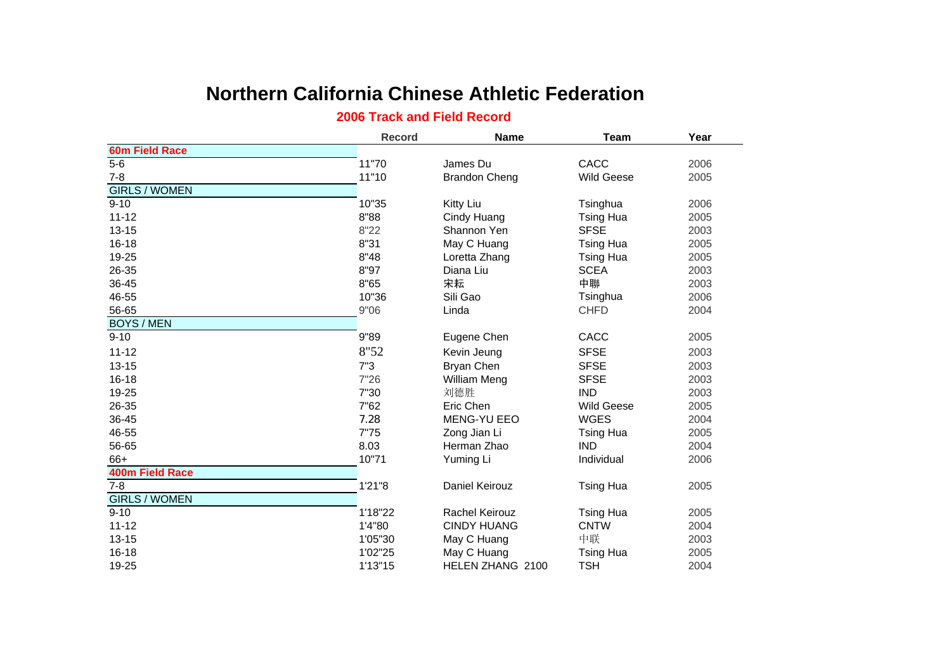## **Northern California Chinese Athletic Federation**

## **2006 Track and Field Record**

|                        | <b>Record</b> | <b>Name</b>           | <b>Team</b>       | Year |
|------------------------|---------------|-----------------------|-------------------|------|
| <b>60m Field Race</b>  |               |                       |                   |      |
| $5-6$                  | 11"70         | James Du              | CACC              | 2006 |
| $7 - 8$                | 11"10         | <b>Brandon Cheng</b>  | <b>Wild Geese</b> | 2005 |
| <b>GIRLS / WOMEN</b>   |               |                       |                   |      |
| $9 - 10$               | 10"35         | Kitty Liu             | Tsinghua          | 2006 |
| $11 - 12$              | 8"88          | Cindy Huang           | <b>Tsing Hua</b>  | 2005 |
| $13 - 15$              | 8"22          | Shannon Yen           | <b>SFSE</b>       | 2003 |
| 16-18                  | 8"31          | May C Huang           | <b>Tsing Hua</b>  | 2005 |
| 19-25                  | 8"48          | Loretta Zhang         | <b>Tsing Hua</b>  | 2005 |
| 26-35                  | 8"97          | Diana Liu             | <b>SCEA</b>       | 2003 |
| 36-45                  | 8"65          | 宋耘                    | 中聯                | 2003 |
| 46-55                  | 10"36         | Sili Gao              | Tsinghua          | 2006 |
| 56-65                  | 9"06          | Linda                 | <b>CHFD</b>       | 2004 |
| <b>BOYS / MEN</b>      |               |                       |                   |      |
| $9 - 10$               | 9"89          | Eugene Chen           | CACC              | 2005 |
| $11 - 12$              | 8"52          | Kevin Jeung           | <b>SFSE</b>       | 2003 |
| $13 - 15$              | 7"3           | Bryan Chen            | <b>SFSE</b>       | 2003 |
| $16 - 18$              | 7"26          | William Meng          | <b>SFSE</b>       | 2003 |
| 19-25                  | 7"30          | 刘德胜                   | <b>IND</b>        | 2003 |
| 26-35                  | 7"62          | Eric Chen             | <b>Wild Geese</b> | 2005 |
| 36-45                  | 7.28          | <b>MENG-YU EEO</b>    | <b>WGES</b>       | 2004 |
| 46-55                  | 7"75          | Zong Jian Li          | <b>Tsing Hua</b>  | 2005 |
| 56-65                  | 8.03          | Herman Zhao           | <b>IND</b>        | 2004 |
| 66+                    | 10"71         | Yuming Li             | Individual        | 2006 |
| <b>400m Field Race</b> |               |                       |                   |      |
| $7 - 8$                | 1'21"8        | Daniel Keirouz        | <b>Tsing Hua</b>  | 2005 |
| <b>GIRLS / WOMEN</b>   |               |                       |                   |      |
| $9 - 10$               | 1'18"22       | <b>Rachel Keirouz</b> | <b>Tsing Hua</b>  | 2005 |
| $11 - 12$              | 1'4"80        | <b>CINDY HUANG</b>    | <b>CNTW</b>       | 2004 |
| $13 - 15$              | 1'05"30       | May C Huang           | 中联                | 2003 |
| $16 - 18$              | 1'02"25       | May C Huang           | <b>Tsing Hua</b>  | 2005 |
| 19-25                  | 1'13"15       | HELEN ZHANG 2100      | <b>TSH</b>        | 2004 |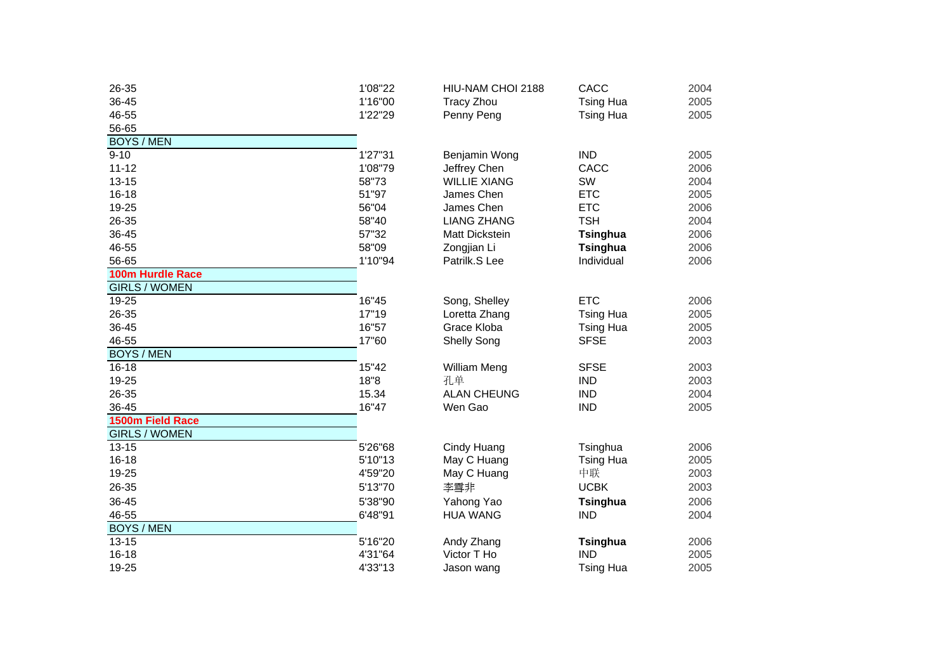| 26-35                | 1'08"22 | HIU-NAM CHOI 2188   | CACC             | 2004 |
|----------------------|---------|---------------------|------------------|------|
| 36-45                | 1'16"00 | <b>Tracy Zhou</b>   | <b>Tsing Hua</b> | 2005 |
| 46-55                | 1'22"29 | Penny Peng          | <b>Tsing Hua</b> | 2005 |
| 56-65                |         |                     |                  |      |
| <b>BOYS / MEN</b>    |         |                     |                  |      |
| $9 - 10$             | 1'27"31 | Benjamin Wong       | <b>IND</b>       | 2005 |
| $11 - 12$            | 1'08"79 | Jeffrey Chen        | CACC             | 2006 |
| $13 - 15$            | 58"73   | <b>WILLIE XIANG</b> | SW               | 2004 |
| $16 - 18$            | 51"97   | James Chen          | <b>ETC</b>       | 2005 |
| 19-25                | 56"04   | James Chen          | <b>ETC</b>       | 2006 |
| 26-35                | 58"40   | <b>LIANG ZHANG</b>  | <b>TSH</b>       | 2004 |
| 36-45                | 57"32   | Matt Dickstein      | Tsinghua         | 2006 |
| 46-55                | 58"09   | Zongjian Li         | Tsinghua         | 2006 |
| 56-65                | 1'10"94 | Patrilk.S Lee       | Individual       | 2006 |
| 100m Hurdle Race     |         |                     |                  |      |
| <b>GIRLS / WOMEN</b> |         |                     |                  |      |
| 19-25                | 16"45   | Song, Shelley       | <b>ETC</b>       | 2006 |
| 26-35                | 17"19   | Loretta Zhang       | <b>Tsing Hua</b> | 2005 |
| 36-45                | 16"57   | Grace Kloba         | <b>Tsing Hua</b> | 2005 |
| 46-55                | 17"60   | <b>Shelly Song</b>  | <b>SFSE</b>      | 2003 |
| <b>BOYS / MEN</b>    |         |                     |                  |      |
| $16 - 18$            | 15"42   | William Meng        | <b>SFSE</b>      | 2003 |
| 19-25                | 18"8    | 孔单                  | <b>IND</b>       | 2003 |
| 26-35                | 15.34   | <b>ALAN CHEUNG</b>  | <b>IND</b>       | 2004 |
| 36-45                | 16"47   | Wen Gao             | <b>IND</b>       | 2005 |
| 1500m Field Race     |         |                     |                  |      |
| <b>GIRLS / WOMEN</b> |         |                     |                  |      |
| $13 - 15$            | 5'26"68 | Cindy Huang         | Tsinghua         | 2006 |
| $16 - 18$            | 5'10"13 | May C Huang         | <b>Tsing Hua</b> | 2005 |
| 19-25                | 4'59"20 | May C Huang         | 中联               | 2003 |
| 26-35                | 5'13"70 | 李雪非                 | <b>UCBK</b>      | 2003 |
| 36-45                | 5'38"90 | Yahong Yao          | Tsinghua         | 2006 |
| 46-55                | 6'48"91 | <b>HUA WANG</b>     | <b>IND</b>       | 2004 |
| <b>BOYS / MEN</b>    |         |                     |                  |      |
| $13 - 15$            | 5'16"20 | Andy Zhang          | Tsinghua         | 2006 |
| 16-18                | 4'31"64 | Victor T Ho         | <b>IND</b>       | 2005 |
| 19-25                | 4'33"13 | Jason wang          | <b>Tsing Hua</b> | 2005 |
|                      |         |                     |                  |      |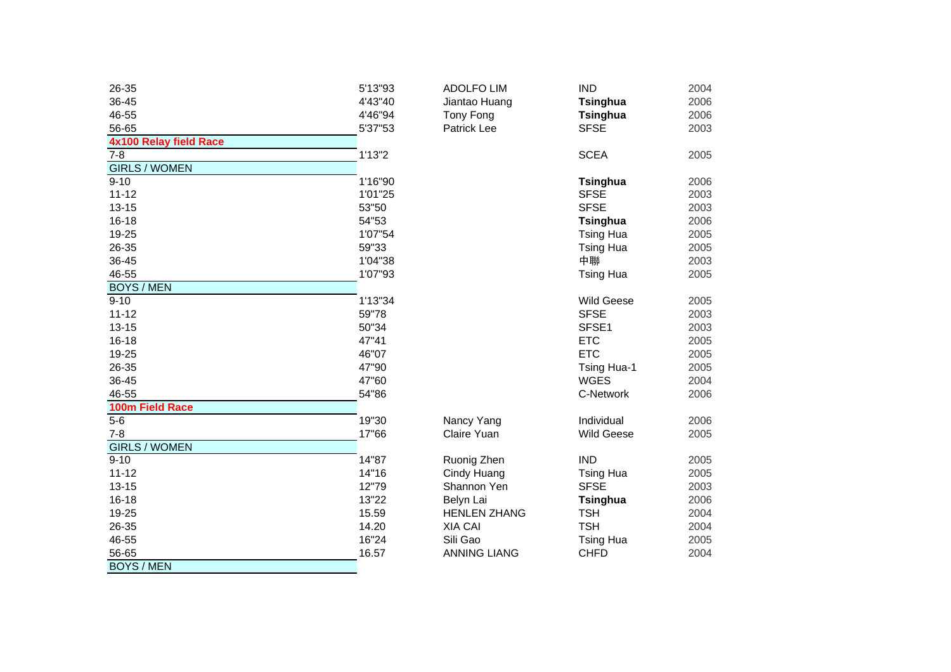| 26-35                         | 5'13"93 | <b>ADOLFO LIM</b>   | <b>IND</b>        | 2004 |
|-------------------------------|---------|---------------------|-------------------|------|
| 36-45                         | 4'43"40 | Jiantao Huang       | <b>Tsinghua</b>   | 2006 |
| 46-55                         | 4'46"94 | Tony Fong           | <b>Tsinghua</b>   | 2006 |
| 56-65                         | 5'37"53 | Patrick Lee         | <b>SFSE</b>       | 2003 |
| <b>4x100 Relay field Race</b> |         |                     |                   |      |
| $7 - 8$                       | 1'13''2 |                     | <b>SCEA</b>       | 2005 |
| <b>GIRLS / WOMEN</b>          |         |                     |                   |      |
| $9 - 10$                      | 1'16"90 |                     | Tsinghua          | 2006 |
| $11 - 12$                     | 1'01"25 |                     | <b>SFSE</b>       | 2003 |
| $13 - 15$                     | 53"50   |                     | <b>SFSE</b>       | 2003 |
| $16 - 18$                     | 54"53   |                     | <b>Tsinghua</b>   | 2006 |
| 19-25                         | 1'07"54 |                     | <b>Tsing Hua</b>  | 2005 |
| 26-35                         | 59"33   |                     | <b>Tsing Hua</b>  | 2005 |
| 36-45                         | 1'04"38 |                     | 中聯                | 2003 |
| 46-55                         | 1'07"93 |                     | <b>Tsing Hua</b>  | 2005 |
| <b>BOYS / MEN</b>             |         |                     |                   |      |
| $9 - 10$                      | 1'13"34 |                     | <b>Wild Geese</b> | 2005 |
| $11 - 12$                     | 59"78   |                     | <b>SFSE</b>       | 2003 |
| $13 - 15$                     | 50"34   |                     | SFSE1             | 2003 |
| $16 - 18$                     | 47"41   |                     | <b>ETC</b>        | 2005 |
| 19-25                         | 46"07   |                     | <b>ETC</b>        | 2005 |
| 26-35                         | 47"90   |                     | Tsing Hua-1       | 2005 |
| 36-45                         | 47"60   |                     | <b>WGES</b>       | 2004 |
| 46-55                         | 54"86   |                     | C-Network         | 2006 |
| 100m Field Race               |         |                     |                   |      |
| $5-6$                         | 19"30   | Nancy Yang          | Individual        | 2006 |
| $7 - 8$                       | 17"66   | Claire Yuan         | <b>Wild Geese</b> | 2005 |
| <b>GIRLS / WOMEN</b>          |         |                     |                   |      |
| $9 - 10$                      | 14"87   | Ruonig Zhen         | <b>IND</b>        | 2005 |
| $11 - 12$                     | 14"16   | Cindy Huang         | <b>Tsing Hua</b>  | 2005 |
| $13 - 15$                     | 12"79   | Shannon Yen         | <b>SFSE</b>       | 2003 |
| $16 - 18$                     | 13"22   | Belyn Lai           | <b>Tsinghua</b>   | 2006 |
| 19-25                         | 15.59   | <b>HENLEN ZHANG</b> | <b>TSH</b>        | 2004 |
| 26-35                         | 14.20   | <b>XIA CAI</b>      | <b>TSH</b>        | 2004 |
| 46-55                         | 16"24   | Sili Gao            | <b>Tsing Hua</b>  | 2005 |
| 56-65                         | 16.57   | <b>ANNING LIANG</b> | <b>CHFD</b>       | 2004 |
| <b>BOYS / MEN</b>             |         |                     |                   |      |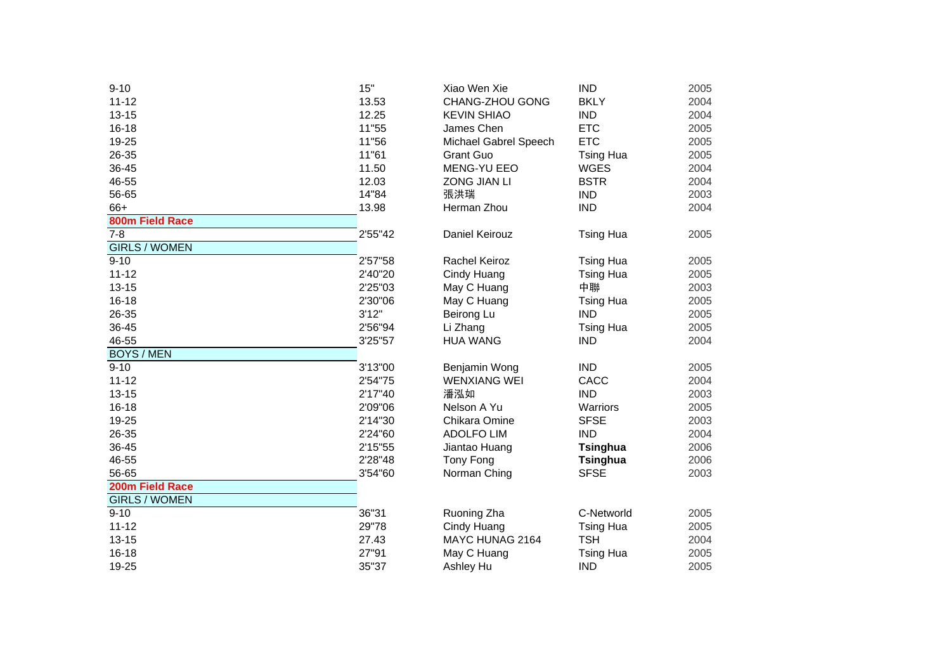| $9 - 10$<br>$11 - 12$<br>$13 - 15$<br>$16 - 18$<br>19-25<br>26-35<br>36-45<br>46-55<br>56-65 | 15"<br>13.53<br>12.25<br>11"55<br>11"56<br>11"61<br>11.50<br>12.03<br>14"84 | Xiao Wen Xie<br>CHANG-ZHOU GONG<br><b>KEVIN SHIAO</b><br>James Chen<br>Michael Gabrel Speech<br><b>Grant Guo</b><br>MENG-YU EEO<br><b>ZONG JIAN LI</b><br>張洪瑞 | <b>IND</b><br><b>BKLY</b><br><b>IND</b><br><b>ETC</b><br><b>ETC</b><br>Tsing<br><b>WGES</b><br><b>BSTR</b><br><b>IND</b> |
|----------------------------------------------------------------------------------------------|-----------------------------------------------------------------------------|---------------------------------------------------------------------------------------------------------------------------------------------------------------|--------------------------------------------------------------------------------------------------------------------------|
| 66+                                                                                          | 13.98                                                                       | Herman Zhou                                                                                                                                                   | <b>IND</b>                                                                                                               |
| 800m Field Race                                                                              |                                                                             |                                                                                                                                                               |                                                                                                                          |
| $7 - 8$                                                                                      | 2'55"42                                                                     | Daniel Keirouz                                                                                                                                                | Tsing                                                                                                                    |
| <b>GIRLS / WOMEN</b>                                                                         |                                                                             |                                                                                                                                                               |                                                                                                                          |
| $9 - 10$                                                                                     | 2'57"58                                                                     | Rachel Keiroz                                                                                                                                                 | Tsing                                                                                                                    |
| $11 - 12$                                                                                    | 2'40"20                                                                     | Cindy Huang                                                                                                                                                   | Tsing                                                                                                                    |
| $13 - 15$                                                                                    | 2'25"03                                                                     | May C Huang                                                                                                                                                   | 中聯                                                                                                                       |
| $16 - 18$                                                                                    | 2'30"06                                                                     | May C Huang                                                                                                                                                   | Tsing                                                                                                                    |
| 26-35                                                                                        | 3'12"                                                                       | Beirong Lu                                                                                                                                                    | <b>IND</b>                                                                                                               |
| 36-45                                                                                        | 2'56"94                                                                     | Li Zhang                                                                                                                                                      | Tsing                                                                                                                    |
| 46-55                                                                                        | 3'25"57                                                                     | <b>HUA WANG</b>                                                                                                                                               | <b>IND</b>                                                                                                               |
| <b>BOYS / MEN</b>                                                                            |                                                                             |                                                                                                                                                               |                                                                                                                          |
| $9 - 10$                                                                                     | 3'13"00                                                                     | Benjamin Wong                                                                                                                                                 | <b>IND</b>                                                                                                               |
| $11 - 12$                                                                                    | 2'54"75                                                                     | <b>WENXIANG WEI</b>                                                                                                                                           | CACC                                                                                                                     |
| $13 - 15$                                                                                    | 2'17"40                                                                     | 潘泓如                                                                                                                                                           | <b>IND</b>                                                                                                               |
| $16 - 18$                                                                                    | 2'09"06                                                                     | Nelson A Yu                                                                                                                                                   | Warric                                                                                                                   |
| 19-25                                                                                        | 2'14"30                                                                     | Chikara Omine                                                                                                                                                 | <b>SFSE</b>                                                                                                              |
| 26-35                                                                                        | 2'24"60                                                                     | <b>ADOLFO LIM</b>                                                                                                                                             | <b>IND</b>                                                                                                               |
| 36-45                                                                                        | 2'15"55                                                                     | Jiantao Huang                                                                                                                                                 | <b>Tsing</b>                                                                                                             |
| 46-55                                                                                        | 2'28"48                                                                     | Tony Fong                                                                                                                                                     | <b>Tsing</b>                                                                                                             |
| 56-65                                                                                        | 3'54"60                                                                     | Norman Ching                                                                                                                                                  | <b>SFSE</b>                                                                                                              |
| 200m Field Race                                                                              |                                                                             |                                                                                                                                                               |                                                                                                                          |
| <b>GIRLS / WOMEN</b>                                                                         |                                                                             |                                                                                                                                                               |                                                                                                                          |
| $9 - 10$                                                                                     | 36"31                                                                       | Ruoning Zha                                                                                                                                                   | C-Net                                                                                                                    |
| $11 - 12$                                                                                    | 29"78                                                                       | Cindy Huang                                                                                                                                                   | Tsing                                                                                                                    |
| $13 - 15$                                                                                    | 27.43                                                                       | MAYC HUNAG 2164                                                                                                                                               | <b>TSH</b>                                                                                                               |
| $16 - 18$                                                                                    | 27"91                                                                       | May C Huang                                                                                                                                                   | Tsing                                                                                                                    |
| 19-25                                                                                        | 35"37                                                                       | Ashley Hu                                                                                                                                                     | <b>IND</b>                                                                                                               |
|                                                                                              |                                                                             |                                                                                                                                                               |                                                                                                                          |

| 10                  | 15"     | Xiao Wen Xie          | <b>IND</b>       | 2005 |
|---------------------|---------|-----------------------|------------------|------|
| $-12$               | 13.53   | CHANG-ZHOU GONG       | <b>BKLY</b>      | 2004 |
| $3 - 15$            | 12.25   | <b>KEVIN SHIAO</b>    | <b>IND</b>       | 2004 |
| $-18$               | 11"55   | James Chen            | <b>ETC</b>       | 2005 |
| $-25$               | 11"56   | Michael Gabrel Speech | <b>ETC</b>       | 2005 |
| $3 - 35$            | 11"61   | <b>Grant Guo</b>      | <b>Tsing Hua</b> | 2005 |
| $-45$               | 11.50   | <b>MENG-YU EEO</b>    | <b>WGES</b>      | 2004 |
| $-55$               | 12.03   | <b>ZONG JIAN LI</b>   | <b>BSTR</b>      | 2004 |
| $-65$               | 14"84   | 張洪瑞                   | <b>IND</b>       | 2003 |
| }+                  | 13.98   | Herman Zhou           | <b>IND</b>       | 2004 |
| 0m Field Race       |         |                       |                  |      |
| 8                   | 2'55"42 | Daniel Keirouz        | <b>Tsing Hua</b> | 2005 |
| <b>IRLS / WOMEN</b> |         |                       |                  |      |
| 10                  | 2'57"58 | <b>Rachel Keiroz</b>  | <b>Tsing Hua</b> | 2005 |
| $-12$               | 2'40"20 | Cindy Huang           | <b>Tsing Hua</b> | 2005 |
| $3 - 15$            | 2'25"03 | May C Huang           | 中聯               | 2003 |
| $-18$               | 2'30"06 | May C Huang           | <b>Tsing Hua</b> | 2005 |
| $3 - 35$            | 3'12"   | Beirong Lu            | <b>IND</b>       | 2005 |
| $-45$               | 2'56"94 | Li Zhang              | <b>Tsing Hua</b> | 2005 |
| $-55$               | 3'25"57 | <b>HUA WANG</b>       | <b>IND</b>       | 2004 |
| <b>OYS / MEN</b>    |         |                       |                  |      |
| $\overline{10}$     | 3'13"00 | Benjamin Wong         | <b>IND</b>       | 2005 |
| $-12$               | 2'54"75 | <b>WENXIANG WEI</b>   | CACC             | 2004 |
| $3 - 15$            | 2'17"40 | 潘泓如                   | <b>IND</b>       | 2003 |
| $-18$               | 2'09"06 | Nelson A Yu           | Warriors         | 2005 |
| $-25$               | 2'14"30 | Chikara Omine         | <b>SFSE</b>      | 2003 |
| $3 - 35$            | 2'24"60 | <b>ADOLFO LIM</b>     | <b>IND</b>       | 2004 |
| $-45$               | 2'15"55 | Jiantao Huang         | Tsinghua         | 2006 |
| $-55$               | 2'28"48 | Tony Fong             | Tsinghua         | 2006 |
| $-65$               | 3'54"60 | Norman Ching          | <b>SFSE</b>      | 2003 |
| 0m Field Race       |         |                       |                  |      |
| <b>IRLS / WOMEN</b> |         |                       |                  |      |
| 10                  | 36"31   | Ruoning Zha           | C-Networld       | 2005 |
| $-12$               | 29"78   | Cindy Huang           | <b>Tsing Hua</b> | 2005 |
| $3 - 15$            | 27.43   | MAYC HUNAG 2164       | <b>TSH</b>       | 2004 |
| $-18$               | 27"91   | May C Huang           | <b>Tsing Hua</b> | 2005 |
| $-25$               | 35"37   | Ashley Hu             | <b>IND</b>       | 2005 |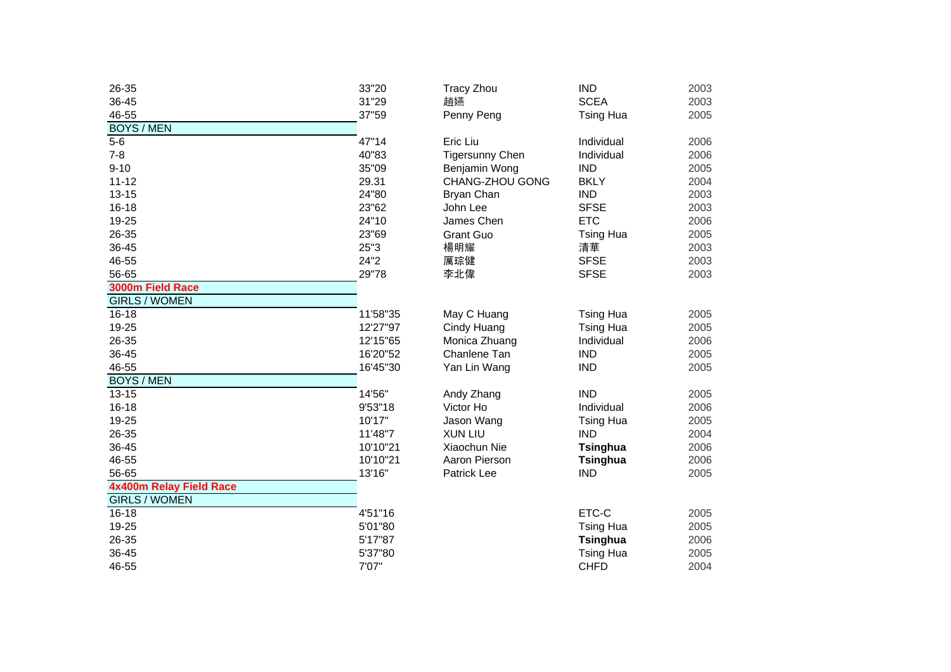| 26-35                   | 33"20    | <b>Tracy Zhou</b>      | <b>IND</b>       | 2003 |
|-------------------------|----------|------------------------|------------------|------|
| 36-45                   | 31"29    | 趙嬿                     | <b>SCEA</b>      | 2003 |
| 46-55                   | 37"59    | Penny Peng             | <b>Tsing Hua</b> | 2005 |
| <b>BOYS / MEN</b>       |          |                        |                  |      |
| $5-6$                   | 47"14    | Eric Liu               | Individual       | 2006 |
| $7 - 8$                 | 40"83    | <b>Tigersunny Chen</b> | Individual       | 2006 |
| $9 - 10$                | 35"09    | Benjamin Wong          | <b>IND</b>       | 2005 |
| $11 - 12$               | 29.31    | CHANG-ZHOU GONG        | <b>BKLY</b>      | 2004 |
| $13 - 15$               | 24"80    | Bryan Chan             | <b>IND</b>       | 2003 |
| $16 - 18$               | 23"62    | John Lee               | <b>SFSE</b>      | 2003 |
| 19-25                   | 24"10    | James Chen             | <b>ETC</b>       | 2006 |
| 26-35                   | 23"69    | <b>Grant Guo</b>       | <b>Tsing Hua</b> | 2005 |
| 36-45                   | 25"3     | 楊明耀                    | 清華               | 2003 |
| 46-55                   | 24"2     | 厲琮健                    | <b>SFSE</b>      | 2003 |
| 56-65                   | 29"78    | 李北偉                    | <b>SFSE</b>      | 2003 |
| 3000m Field Race        |          |                        |                  |      |
| <b>GIRLS / WOMEN</b>    |          |                        |                  |      |
| $16 - 18$               | 11'58"35 | May C Huang            | <b>Tsing Hua</b> | 2005 |
| 19-25                   | 12'27"97 | Cindy Huang            | <b>Tsing Hua</b> | 2005 |
| 26-35                   | 12'15"65 | Monica Zhuang          | Individual       | 2006 |
| 36-45                   | 16'20"52 | Chanlene Tan           | <b>IND</b>       | 2005 |
| 46-55                   | 16'45"30 | Yan Lin Wang           | <b>IND</b>       | 2005 |
| <b>BOYS / MEN</b>       |          |                        |                  |      |
| $13 - 15$               | 14'56"   | Andy Zhang             | <b>IND</b>       | 2005 |
| $16 - 18$               | 9'53"18  | Victor Ho              | Individual       | 2006 |
| 19-25                   | 10'17"   | Jason Wang             | <b>Tsing Hua</b> | 2005 |
| 26-35                   | 11'48"7  | <b>XUN LIU</b>         | <b>IND</b>       | 2004 |
| 36-45                   | 10'10"21 | Xiaochun Nie           | <b>Tsinghua</b>  | 2006 |
| 46-55                   | 10'10"21 | Aaron Pierson          | <b>Tsinghua</b>  | 2006 |
| 56-65                   | 13'16"   | Patrick Lee            | <b>IND</b>       | 2005 |
| 4x400m Relay Field Race |          |                        |                  |      |
| <b>GIRLS / WOMEN</b>    |          |                        |                  |      |
| $16 - 18$               | 4'51"16  |                        | ETC-C            | 2005 |
| 19-25                   | 5'01"80  |                        | <b>Tsing Hua</b> | 2005 |
| 26-35                   | 5'17"87  |                        | <b>Tsinghua</b>  | 2006 |
| 36-45                   | 5'37"80  |                        | <b>Tsing Hua</b> | 2005 |
| 46-55                   | 7'07"    |                        | <b>CHFD</b>      | 2004 |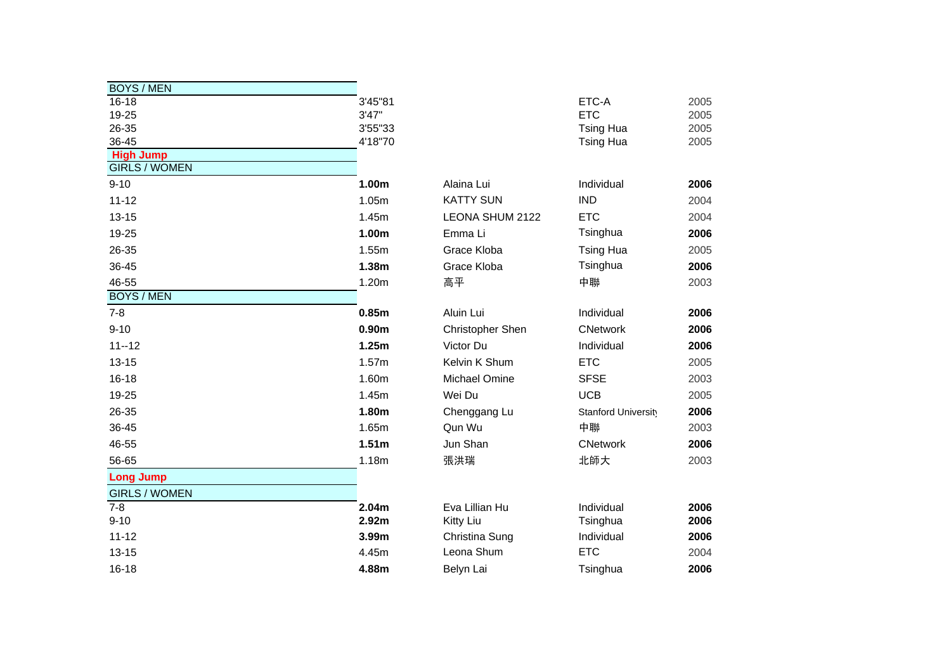| <b>BOYS / MEN</b>                        |                   |                         |                     |      |
|------------------------------------------|-------------------|-------------------------|---------------------|------|
| $16 - 18$                                | 3'45"81           |                         | ETC-A               | 2005 |
| 19-25                                    | 3'47"             |                         | <b>ETC</b>          | 2005 |
| 26-35                                    | 3'55"33           |                         | <b>Tsing Hua</b>    | 2005 |
| 36-45                                    | 4'18"70           |                         | <b>Tsing Hua</b>    | 2005 |
| <b>High Jump</b><br><b>GIRLS / WOMEN</b> |                   |                         |                     |      |
| $9 - 10$                                 | 1.00m             | Alaina Lui              | Individual          | 2006 |
| $11 - 12$                                | 1.05m             | <b>KATTY SUN</b>        | <b>IND</b>          | 2004 |
| $13 - 15$                                | 1.45m             | LEONA SHUM 2122         | <b>ETC</b>          | 2004 |
| 19-25                                    | 1.00m             | Emma Li                 | Tsinghua            | 2006 |
| 26-35                                    | 1.55m             | Grace Kloba             | <b>Tsing Hua</b>    | 2005 |
| 36-45                                    | 1.38m             | Grace Kloba             | Tsinghua            | 2006 |
| 46-55                                    | 1.20m             | 高平                      | 中聯                  | 2003 |
| <b>BOYS / MEN</b>                        |                   |                         |                     |      |
| $7 - 8$                                  | 0.85m             | Aluin Lui               | Individual          | 2006 |
| $9 - 10$                                 | 0.90 <sub>m</sub> | <b>Christopher Shen</b> | <b>CNetwork</b>     | 2006 |
| $11 - 12$                                | 1.25m             | Victor Du               | Individual          | 2006 |
| $13 - 15$                                | 1.57m             | Kelvin K Shum           | <b>ETC</b>          | 2005 |
| $16 - 18$                                | 1.60m             | Michael Omine           | <b>SFSE</b>         | 2003 |
| 19-25                                    | 1.45m             | Wei Du                  | <b>UCB</b>          | 2005 |
| 26-35                                    | 1.80m             | Chenggang Lu            | Stanford University | 2006 |
| 36-45                                    | 1.65m             | Qun Wu                  | 中聯                  | 2003 |
| 46-55                                    | 1.51 <sub>m</sub> | Jun Shan                | <b>CNetwork</b>     | 2006 |
| 56-65                                    | 1.18m             | 張洪瑞                     | 北師大                 | 2003 |
| <b>Long Jump</b>                         |                   |                         |                     |      |
| <b>GIRLS / WOMEN</b>                     |                   |                         |                     |      |
| $7 - 8$                                  | 2.04m             | Eva Lillian Hu          | Individual          | 2006 |
| $9 - 10$                                 | 2.92m             | Kitty Liu               | Tsinghua            | 2006 |
| $11 - 12$                                | 3.99m             | Christina Sung          | Individual          | 2006 |
| $13 - 15$                                | 4.45m             | Leona Shum              | <b>ETC</b>          | 2004 |
| $16 - 18$                                | 4.88m             | Belyn Lai               | Tsinghua            | 2006 |

| 5             | 4'18"70           |                  | <b>Tsing Hua</b>    | 2005 |
|---------------|-------------------|------------------|---------------------|------|
| h Jump        |                   |                  |                     |      |
| S/WOMEN       |                   |                  |                     |      |
|               | 1.00m             | Alaina Lui       | Individual          | 2006 |
| 2             | 1.05m             | <b>KATTY SUN</b> | <b>IND</b>          | 2004 |
| 5             | 1.45m             | LEONA SHUM 2122  | <b>ETC</b>          | 2004 |
| 5             | 1.00m             | Emma Li          | Tsinghua            | 2006 |
| 5             | 1.55m             | Grace Kloba      | <b>Tsing Hua</b>    | 2005 |
| 5             | 1.38m             | Grace Kloba      | Tsinghua            | 2006 |
| 5<br>'S / MEN | 1.20m             | 高平               | 中聯                  | 2003 |
|               |                   |                  |                     |      |
|               | 0.85m             | Aluin Lui        | Individual          | 2006 |
|               | 0.90 <sub>m</sub> | Christopher Shen | <b>CNetwork</b>     | 2006 |
| 12            | 1.25m             | Victor Du        | Individual          | 2006 |
| 5             | 1.57m             | Kelvin K Shum    | <b>ETC</b>          | 2005 |
| 8             | 1.60m             | Michael Omine    | <b>SFSE</b>         | 2003 |
| 5             | 1.45m             | Wei Du           | <b>UCB</b>          | 2005 |
| 5             | 1.80m             | Chenggang Lu     | Stanford University | 2006 |
| 5             | 1.65m             | Qun Wu           | 中聯                  | 2003 |
| 5             | 1.51 <sub>m</sub> | Jun Shan         | <b>CNetwork</b>     | 2006 |
| 5             | 1.18m             | 張洪瑞              | 北師大                 | 2003 |
| g Jump        |                   |                  |                     |      |
| S / WOMEN     |                   |                  |                     |      |
|               | 2.04m             | Eva Lillian Hu   | Individual          | 2006 |
|               | 2.92m             | Kitty Liu        | Tsinghua            | 2006 |
| 2             | 3.99m             | Christina Sung   | Individual          | 2006 |
| 5             | 4.45m             | Leona Shum       | <b>ETC</b>          | 2004 |
| 8             | 4.88m             | Belyn Lai        | Tsinghua            | 2006 |
|               |                   |                  |                     |      |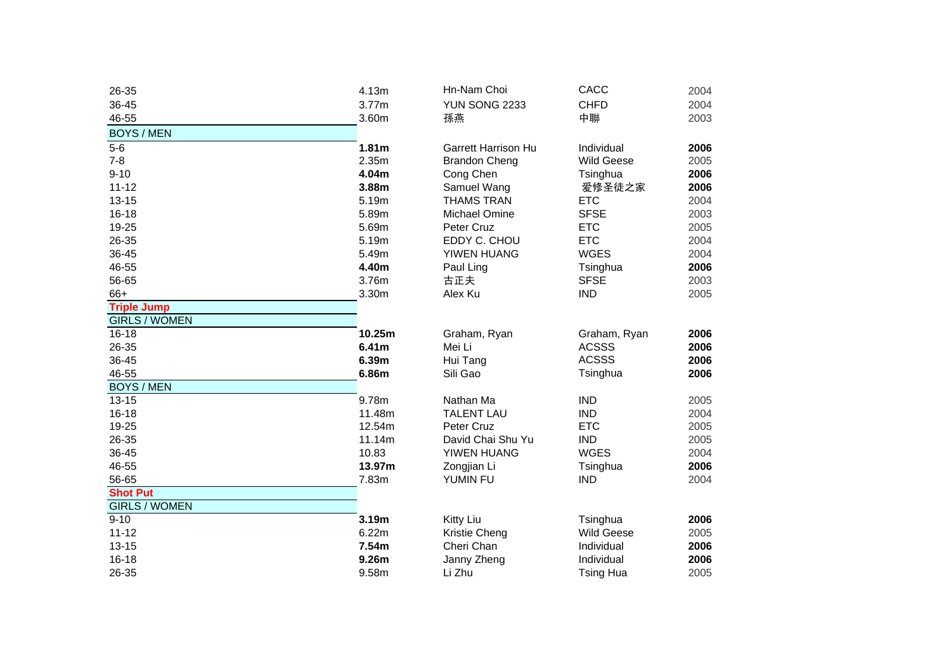| 26-35                | 4.13m             | Hn-Nam Choi                | CACC              | 2004 |
|----------------------|-------------------|----------------------------|-------------------|------|
| 36-45                | 3.77m             | YUN SONG 2233              | <b>CHFD</b>       | 2004 |
| 46-55                | 3.60m             | 孫燕                         | 中聯                | 2003 |
| <b>BOYS / MEN</b>    |                   |                            |                   |      |
| $5-6$                | 1.81m             | <b>Garrett Harrison Hu</b> | Individual        | 2006 |
| $7 - 8$              | 2.35m             | <b>Brandon Cheng</b>       | <b>Wild Geese</b> | 2005 |
| $9 - 10$             | 4.04m             | Cong Chen                  | Tsinghua          | 2006 |
| $11 - 12$            | 3.88m             | Samuel Wang                | 爱修圣徒之家            | 2006 |
| $13 - 15$            | 5.19m             | <b>THAMS TRAN</b>          | <b>ETC</b>        | 2004 |
| $16 - 18$            | 5.89m             | Michael Omine              | <b>SFSE</b>       | 2003 |
| 19-25                | 5.69m             | Peter Cruz                 | <b>ETC</b>        | 2005 |
| 26-35                | 5.19m             | EDDY C. CHOU               | <b>ETC</b>        | 2004 |
| 36-45                | 5.49m             | YIWEN HUANG                | <b>WGES</b>       | 2004 |
| 46-55                | 4.40m             | Paul Ling                  | Tsinghua          | 2006 |
| 56-65                | 3.76m             | 古正夫                        | <b>SFSE</b>       | 2003 |
| 66+                  | 3.30m             | Alex Ku                    | <b>IND</b>        | 2005 |
| <b>Triple Jump</b>   |                   |                            |                   |      |
| <b>GIRLS / WOMEN</b> |                   |                            |                   |      |
| $16 - 18$            | 10.25m            | Graham, Ryan               | Graham, Ryan      | 2006 |
| 26-35                | 6.41 <sub>m</sub> | Mei Li                     | <b>ACSSS</b>      | 2006 |
| 36-45                | 6.39m             | Hui Tang                   | <b>ACSSS</b>      | 2006 |
| 46-55                | 6.86m             | Sili Gao                   | Tsinghua          | 2006 |
| <b>BOYS / MEN</b>    |                   |                            |                   |      |
| $13 - 15$            | 9.78m             | Nathan Ma                  | <b>IND</b>        | 2005 |
| $16 - 18$            | 11.48m            | <b>TALENT LAU</b>          | <b>IND</b>        | 2004 |
| 19-25                | 12.54m            | Peter Cruz                 | <b>ETC</b>        | 2005 |
| 26-35                | 11.14m            | David Chai Shu Yu          | <b>IND</b>        | 2005 |
| 36-45                | 10.83             | YIWEN HUANG                | <b>WGES</b>       | 2004 |
| 46-55                | 13.97m            | Zongjian Li                | Tsinghua          | 2006 |
| 56-65                | 7.83m             | YUMIN FU                   | <b>IND</b>        | 2004 |
| <b>Shot Put</b>      |                   |                            |                   |      |
| <b>GIRLS / WOMEN</b> |                   |                            |                   |      |
| $9 - 10$             | 3.19m             | Kitty Liu                  | Tsinghua          | 2006 |
| $11 - 12$            | 6.22m             | Kristie Cheng              | <b>Wild Geese</b> | 2005 |
| $13 - 15$            | 7.54m             | Cheri Chan                 | Individual        | 2006 |
| $16 - 18$            | 9.26m             | Janny Zheng                | Individual        | 2006 |
| 26-35                | 9.58m             | Li Zhu                     | <b>Tsing Hua</b>  | 2005 |

| ш              | <b>I III-IYAIII UIUI</b>   | unuu              | ZUU4 |
|----------------|----------------------------|-------------------|------|
| m              | <b>YUN SONG 2233</b>       | <b>CHFD</b>       | 2004 |
| w              | 孫燕                         | 中聯                | 2003 |
| m              | <b>Garrett Harrison Hu</b> | Individual        | 2006 |
| m              | <b>Brandon Cheng</b>       | <b>Wild Geese</b> | 2005 |
| m              | Cong Chen                  | Tsinghua          | 2006 |
| m              | Samuel Wang                | 爱修圣徒之家            | 2006 |
| m              | <b>THAMS TRAN</b>          | <b>ETC</b>        | 2004 |
| m              | Michael Omine              | <b>SFSE</b>       | 2003 |
| m              | Peter Cruz                 | <b>ETC</b>        | 2005 |
| m              | EDDY C. CHOU               | <b>ETC</b>        | 2004 |
| m              | YIWEN HUANG                | <b>WGES</b>       | 2004 |
| m              | Paul Ling                  | Tsinghua          | 2006 |
| m              | 古正夫                        | <b>SFSE</b>       | 2003 |
| m              | Alex Ku                    | <b>IND</b>        | 2005 |
| 5m             | Graham, Ryan               | Graham, Ryan      | 2006 |
| m              | Mei Li                     | <b>ACSSS</b>      | 2006 |
| m              | Hui Tang                   | <b>ACSSS</b>      | 2006 |
| m              | Sili Gao                   | Tsinghua          | 2006 |
| m              | Nathan Ma                  | <b>IND</b>        | 2005 |
| 8m             | <b>TALENT LAU</b>          | <b>IND</b>        | 2004 |
| 4m             | Peter Cruz                 | <b>ETC</b>        | 2005 |
| 4m             | David Chai Shu Yu          | <b>IND</b>        | 2005 |
| 3              | YIWEN HUANG                | <b>WGES</b>       | 2004 |
| 7 <sub>m</sub> | Zongjian Li                | Tsinghua          | 2006 |
| m              | YUMIN FU                   | <b>IND</b>        | 2004 |
| m              | Kitty Liu                  | Tsinghua          | 2006 |
| m              | Kristie Cheng              | <b>Wild Geese</b> | 2005 |
| m              | Cheri Chan                 | Individual        | 2006 |
| m              | Janny Zheng                | Individual        | 2006 |
| m              | Li Zhu                     | <b>Tsing Hua</b>  | 2005 |
|                |                            |                   |      |